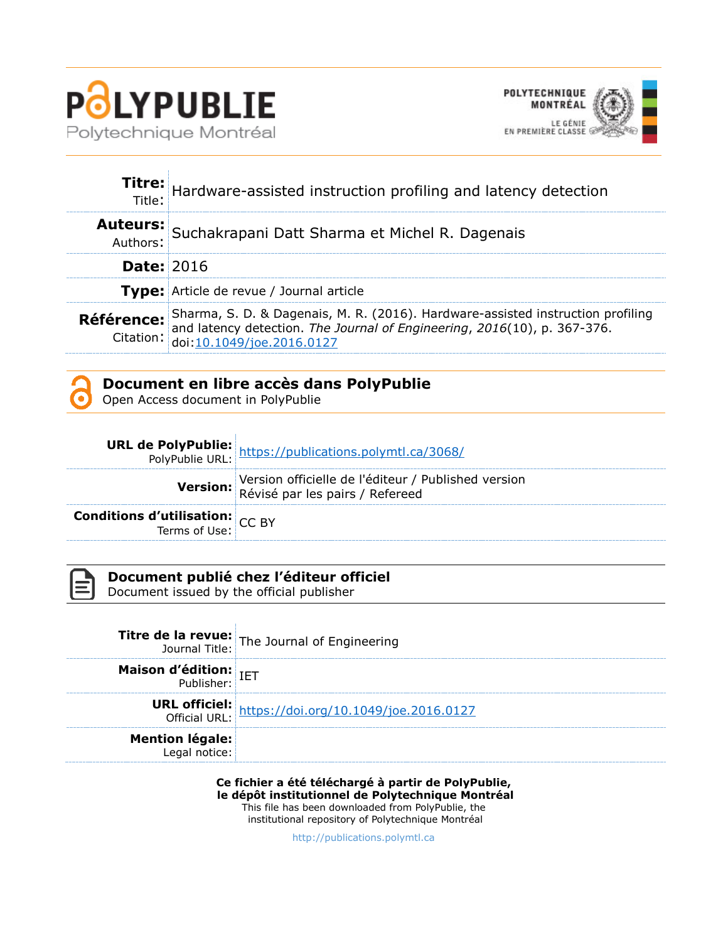



|                   | Titre: Hardware-assisted instruction profiling and latency detection<br>Title:                                                                                                                                                                            |
|-------------------|-----------------------------------------------------------------------------------------------------------------------------------------------------------------------------------------------------------------------------------------------------------|
|                   | Auteurs: Suchakrapani Datt Sharma et Michel R. Dagenais                                                                                                                                                                                                   |
| <b>Date: 2016</b> |                                                                                                                                                                                                                                                           |
|                   | Type: Article de revue / Journal article                                                                                                                                                                                                                  |
|                   | <b>Référence:</b> Sharma, S. D. & Dagenais, M. R. (2016). Hardware-assisted instruction profiling and latency detection. <i>The Journal of Engineering</i> , 2016(10), p. 367-376.<br>Citation: $\frac{10.1049/joe.2016.0127}{\text{doi:10.1049/joe.2016$ |

# **Document en libre accès dans PolyPublie**

Open Access document in PolyPublie

|                                                         | <b>URL de PolyPublie:</b> https://publications.polymtl.ca/3068/<br>PolyPublie URL: https://publications.polymtl.ca/3068/ |
|---------------------------------------------------------|--------------------------------------------------------------------------------------------------------------------------|
|                                                         | Version officielle de l'éditeur / Published version<br>Révisé par les pairs / Refereed                                   |
| <b>Conditions d'utilisation:</b> CC BY<br>Terms of Use: |                                                                                                                          |

| - 1 |
|-----|
|     |
|     |
|     |

## **Document publié chez l'éditeur officiel**

Document issued by the official publisher

|                                                   | <b>Titre de la revue:</b> The Journal of Engineering<br>Journal Title: The Journal of Engineering |
|---------------------------------------------------|---------------------------------------------------------------------------------------------------|
| <b>Maison d'édition:</b><br><b>Dublisher:</b> IET |                                                                                                   |
|                                                   | <b>URL officiel:</b><br>Official URL: https://doi.org/10.1049/joe.2016.0127                       |
| <b>Mention légale:</b><br>Legal notice:           |                                                                                                   |

**Ce fichier a été téléchargé à partir de PolyPublie, le dépôt institutionnel de Polytechnique Montréal** This file has been downloaded from PolyPublie, the institutional repository of Polytechnique Montréal

[http://publications.polymtl.ca](http://publications.polymtl.ca/)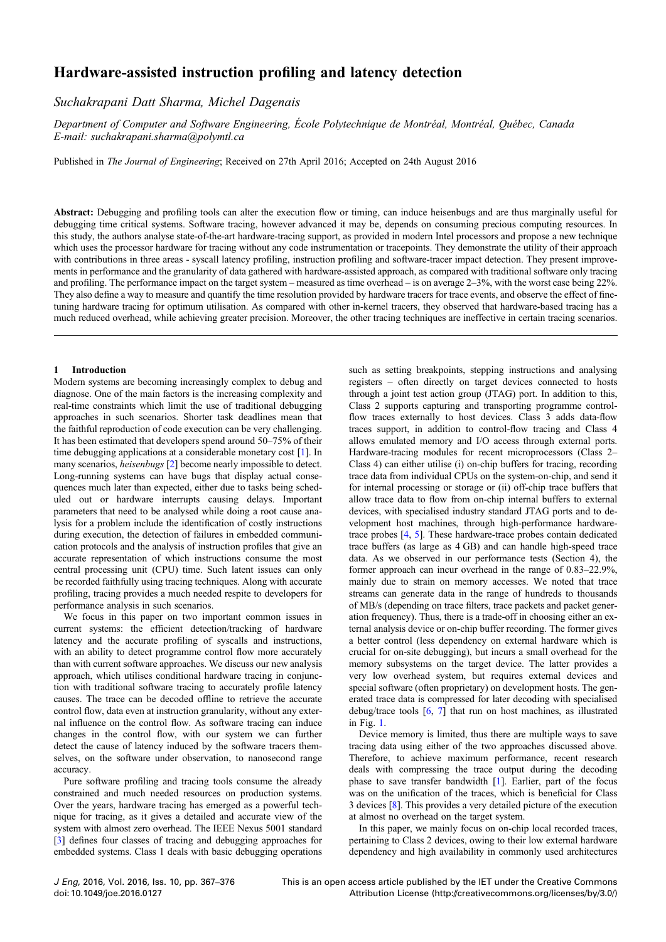## Hardware-assisted instruction profiling and latency detection

## Suchakrapani Datt Sharm[a,](mailto:) [Michel](mailto:) [Dagenais](mailto:)

Department of Computer and Software Engineering, École Polytechnique de Montréal, Montréal, Québec, Canada E-mail: [suchakrapani.sharma@polymtl.ca](mailto:)

Published in The Journal of Engineering; Received on 27th April 2016; Accepted on 24th August 2016

Abstract: Debugging and profiling tools can alter the execution flow or timing, can induce heisenbugs and are thus marginally useful for debugging time critical systems. Software tracing, however advanced it may be, depends on consuming precious computing resources. In this study, the authors analyse state-of-the-art hardware-tracing support, as provided in modern Intel processors and propose a new technique which uses the processor hardware for tracing without any code instrumentation or tracepoints. They demonstrate the utility of their approach with contributions in three areas - syscall latency profiling, instruction profiling and software-tracer impact detection. They present improvements in performance and the granularity of data gathered with hardware-assisted approach, as compared with traditional software only tracing and profiling. The performance impact on the target system – measured as time overhead – is on average 2–3%, with the worst case being 22%. They also define a way to measure and quantify the time resolution provided by hardware tracers for trace events, and observe the effect of finetuning hardware tracing for optimum utilisation. As compared with other in-kernel tracers, they observed that hardware-based tracing has a much reduced overhead, while achieving greater precision. Moreover, the other tracing techniques are ineffective in certain tracing scenarios.

### 1 Introduction

Modern systems are becoming increasingly complex to debug and diagnose. One of the main factors is the increasing complexity and real-time constraints which limit the use of traditional debugging approaches in such scenarios. Shorter task deadlines mean that the faithful reproduction of code execution can be very challenging. It has been estimated that developers spend around 50–75% of their time debugging applications at a considerable monetary cost [[1](#page-10-0)]. In many scenarios, heisenbugs [[2](#page-10-0)] become nearly impossible to detect. Long-running systems can have bugs that display actual consequences much later than expected, either due to tasks being scheduled out or hardware interrupts causing delays. Important parameters that need to be analysed while doing a root cause analysis for a problem include the identification of costly instructions during execution, the detection of failures in embedded communication protocols and the analysis of instruction profiles that give an accurate representation of which instructions consume the most central processing unit (CPU) time. Such latent issues can only be recorded faithfully using tracing techniques. Along with accurate profiling, tracing provides a much needed respite to developers for performance analysis in such scenarios.

We focus in this paper on two important common issues in current systems: the efficient detection/tracking of hardware latency and the accurate profiling of syscalls and instructions, with an ability to detect programme control flow more accurately than with current software approaches. We discuss our new analysis approach, which utilises conditional hardware tracing in conjunction with traditional software tracing to accurately profile latency causes. The trace can be decoded offline to retrieve the accurate control flow, data even at instruction granularity, without any external influence on the control flow. As software tracing can induce changes in the control flow, with our system we can further detect the cause of latency induced by the software tracers themselves, on the software under observation, to nanosecond range accuracy.

Pure software profiling and tracing tools consume the already constrained and much needed resources on production systems. Over the years, hardware tracing has emerged as a powerful technique for tracing, as it gives a detailed and accurate view of the system with almost zero overhead. The IEEE Nexus 5001 standard [[3](#page-10-0)] defines four classes of tracing and debugging approaches for embedded systems. Class 1 deals with basic debugging operations such as setting breakpoints, stepping instructions and analysing registers – often directly on target devices connected to hosts through a joint test action group (JTAG) port. In addition to this, Class 2 supports capturing and transporting programme controlflow traces externally to host devices. Class 3 adds data-flow traces support, in addition to control-flow tracing and Class 4 allows emulated memory and I/O access through external ports. Hardware-tracing modules for recent microprocessors (Class 2– Class 4) can either utilise (i) on-chip buffers for tracing, recording trace data from individual CPUs on the system-on-chip, and send it for internal processing or storage or (ii) off-chip trace buffers that allow trace data to flow from on-chip internal buffers to external devices, with specialised industry standard JTAG ports and to development host machines, through high-performance hardwaretrace probes [\[4,](#page-10-0) [5](#page-10-0)]. These hardware-trace probes contain dedicated trace buffers (as large as 4 GB) and can handle high-speed trace data. As we observed in our performance tests (Section 4), the former approach can incur overhead in the range of 0.83–22.9%, mainly due to strain on memory accesses. We noted that trace streams can generate data in the range of hundreds to thousands of MB/s (depending on trace filters, trace packets and packet generation frequency). Thus, there is a trade-off in choosing either an external analysis device or on-chip buffer recording. The former gives a better control (less dependency on external hardware which is crucial for on-site debugging), but incurs a small overhead for the memory subsystems on the target device. The latter provides a very low overhead system, but requires external devices and special software (often proprietary) on development hosts. The generated trace data is compressed for later decoding with specialised debug/trace tools [[6](#page-10-0), [7\]](#page-10-0) that run on host machines, as illustrated in Fig. [1](#page-2-0).

Device memory is limited, thus there are multiple ways to save tracing data using either of the two approaches discussed above. Therefore, to achieve maximum performance, recent research deals with compressing the trace output during the decoding phase to save transfer bandwidth [[1](#page-10-0)]. Earlier, part of the focus was on the unification of the traces, which is beneficial for Class 3 devices [[8](#page-10-0)]. This provides a very detailed picture of the execution at almost no overhead on the target system.

In this paper, we mainly focus on on-chip local recorded traces, pertaining to Class 2 devices, owing to their low external hardware dependency and high availability in commonly used architectures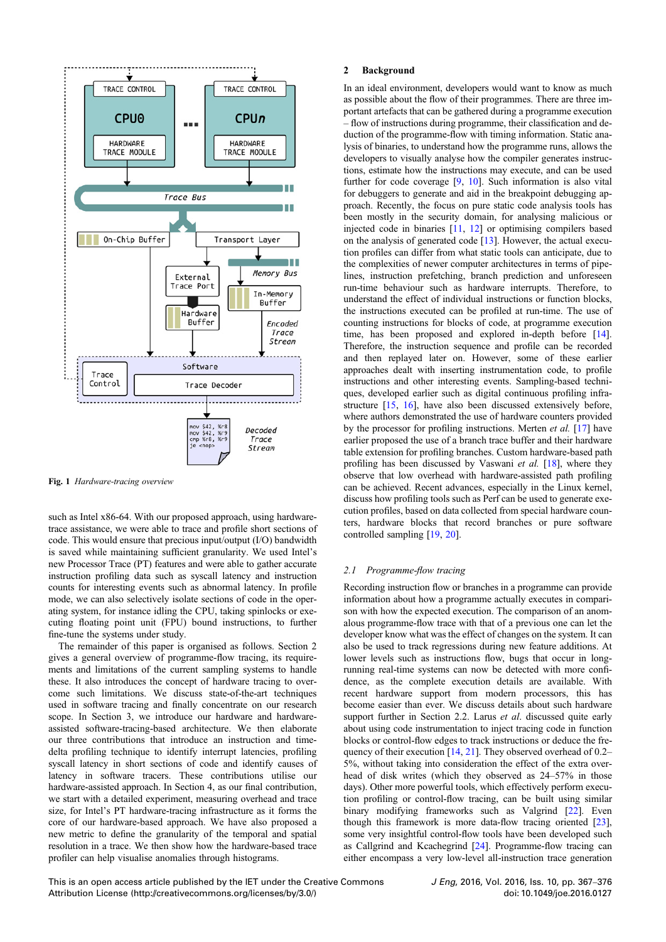<span id="page-2-0"></span>

Fig. 1 Hardware-tracing overview

such as Intel x86-64. With our proposed approach, using hardwaretrace assistance, we were able to trace and profile short sections of code. This would ensure that precious input/output (I/O) bandwidth is saved while maintaining sufficient granularity. We used Intel's new Processor Trace (PT) features and were able to gather accurate instruction profiling data such as syscall latency and instruction counts for interesting events such as abnormal latency. In profile mode, we can also selectively isolate sections of code in the operating system, for instance idling the CPU, taking spinlocks or executing floating point unit (FPU) bound instructions, to further fine-tune the systems under study.

The remainder of this paper is organised as follows. Section 2 gives a general overview of programme-flow tracing, its requirements and limitations of the current sampling systems to handle these. It also introduces the concept of hardware tracing to overcome such limitations. We discuss state-of-the-art techniques used in software tracing and finally concentrate on our research scope. In Section 3, we introduce our hardware and hardwareassisted software-tracing-based architecture. We then elaborate our three contributions that introduce an instruction and timedelta profiling technique to identify interrupt latencies, profiling syscall latency in short sections of code and identify causes of latency in software tracers. These contributions utilise our hardware-assisted approach. In Section 4, as our final contribution, we start with a detailed experiment, measuring overhead and trace size, for Intel's PT hardware-tracing infrastructure as it forms the core of our hardware-based approach. We have also proposed a new metric to define the granularity of the temporal and spatial resolution in a trace. We then show how the hardware-based trace profiler can help visualise anomalies through histograms.

#### 2 Background

In an ideal environment, developers would want to know as much as possible about the flow of their programmes. There are three important artefacts that can be gathered during a programme execution – flow of instructions during programme, their classification and deduction of the programme-flow with timing information. Static analysis of binaries, to understand how the programme runs, allows the developers to visually analyse how the compiler generates instructions, estimate how the instructions may execute, and can be used further for code coverage [\[9,](#page-10-0) [10\]](#page-10-0). Such information is also vital for debuggers to generate and aid in the breakpoint debugging approach. Recently, the focus on pure static code analysis tools has been mostly in the security domain, for analysing malicious or injected code in binaries [[11,](#page-10-0) [12\]](#page-10-0) or optimising compilers based on the analysis of generated code [[13\]](#page-10-0). However, the actual execution profiles can differ from what static tools can anticipate, due to the complexities of newer computer architectures in terms of pipelines, instruction prefetching, branch prediction and unforeseen run-time behaviour such as hardware interrupts. Therefore, to understand the effect of individual instructions or function blocks, the instructions executed can be profiled at run-time. The use of counting instructions for blocks of code, at programme execution time, has been proposed and explored in-depth before [\[14](#page-10-0)]. Therefore, the instruction sequence and profile can be recorded and then replayed later on. However, some of these earlier approaches dealt with inserting instrumentation code, to profile instructions and other interesting events. Sampling-based techniques, developed earlier such as digital continuous profiling infrastructure [\[15](#page-10-0), [16\]](#page-10-0), have also been discussed extensively before, where authors demonstrated the use of hardware counters provided by the processor for profiling instructions. Merten et al. [[17\]](#page-10-0) have earlier proposed the use of a branch trace buffer and their hardware table extension for profiling branches. Custom hardware-based path profiling has been discussed by Vaswani et al. [[18\]](#page-10-0), where they observe that low overhead with hardware-assisted path profiling can be achieved. Recent advances, especially in the Linux kernel, discuss how profiling tools such as Perf can be used to generate execution profiles, based on data collected from special hardware counters, hardware blocks that record branches or pure software controlled sampling [\[19](#page-10-0), [20](#page-10-0)].

## 2.1 Programme-flow tracing

Recording instruction flow or branches in a programme can provide information about how a programme actually executes in comparison with how the expected execution. The comparison of an anomalous programme-flow trace with that of a previous one can let the developer know what was the effect of changes on the system. It can also be used to track regressions during new feature additions. At lower levels such as instructions flow, bugs that occur in longrunning real-time systems can now be detected with more confidence, as the complete execution details are available. With recent hardware support from modern processors, this has become easier than ever. We discuss details about such hardware support further in Section 2.2. Larus *et al.* discussed quite early about using code instrumentation to inject tracing code in function blocks or control-flow edges to track instructions or deduce the frequency of their execution [[14,](#page-10-0) [21](#page-10-0)]. They observed overhead of 0.2– 5%, without taking into consideration the effect of the extra overhead of disk writes (which they observed as 24–57% in those days). Other more powerful tools, which effectively perform execution profiling or control-flow tracing, can be built using similar binary modifying frameworks such as Valgrind [\[22](#page-10-0)]. Even though this framework is more data-flow tracing oriented [\[23](#page-10-0)], some very insightful control-flow tools have been developed such as Callgrind and Kcachegrind [[24\]](#page-10-0). Programme-flow tracing can either encompass a very low-level all-instruction trace generation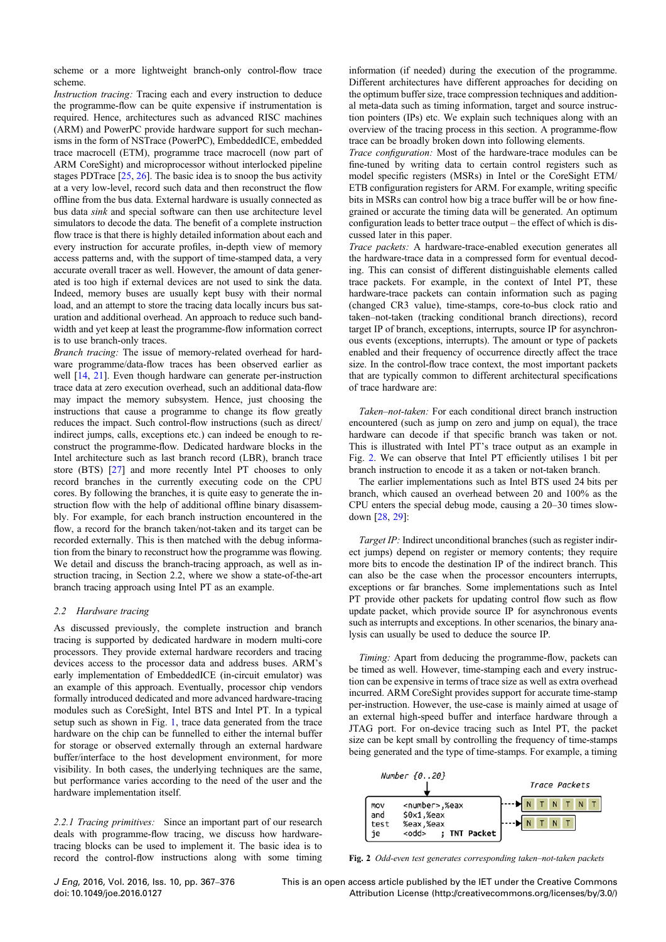<span id="page-3-0"></span>scheme or a more lightweight branch-only control-flow trace scheme.

Instruction tracing: Tracing each and every instruction to deduce the programme-flow can be quite expensive if instrumentation is required. Hence, architectures such as advanced RISC machines (ARM) and PowerPC provide hardware support for such mechanisms in the form of NSTrace (PowerPC), EmbeddedICE, embedded trace macrocell (ETM), programme trace macrocell (now part of ARM CoreSight) and microprocessor without interlocked pipeline stages PDTrace [\[25](#page-10-0), [26](#page-10-0)]. The basic idea is to snoop the bus activity at a very low-level, record such data and then reconstruct the flow offline from the bus data. External hardware is usually connected as bus data sink and special software can then use architecture level simulators to decode the data. The benefit of a complete instruction flow trace is that there is highly detailed information about each and every instruction for accurate profiles, in-depth view of memory access patterns and, with the support of time-stamped data, a very accurate overall tracer as well. However, the amount of data generated is too high if external devices are not used to sink the data. Indeed, memory buses are usually kept busy with their normal load, and an attempt to store the tracing data locally incurs bus saturation and additional overhead. An approach to reduce such bandwidth and yet keep at least the programme-flow information correct is to use branch-only traces.

Branch tracing: The issue of memory-related overhead for hardware programme/data-flow traces has been observed earlier as well  $[14, 21]$  $[14, 21]$  $[14, 21]$ . Even though hardware can generate per-instruction trace data at zero execution overhead, such an additional data-flow may impact the memory subsystem. Hence, just choosing the instructions that cause a programme to change its flow greatly reduces the impact. Such control-flow instructions (such as direct/ indirect jumps, calls, exceptions etc.) can indeed be enough to reconstruct the programme-flow. Dedicated hardware blocks in the Intel architecture such as last branch record (LBR), branch trace store (BTS) [[27\]](#page-10-0) and more recently Intel PT chooses to only record branches in the currently executing code on the CPU cores. By following the branches, it is quite easy to generate the instruction flow with the help of additional offline binary disassembly. For example, for each branch instruction encountered in the flow, a record for the branch taken/not-taken and its target can be recorded externally. This is then matched with the debug information from the binary to reconstruct how the programme was flowing. We detail and discuss the branch-tracing approach, as well as instruction tracing, in Section 2.2, where we show a state-of-the-art branch tracing approach using Intel PT as an example.

## 2.2 Hardware tracing

As discussed previously, the complete instruction and branch tracing is supported by dedicated hardware in modern multi-core processors. They provide external hardware recorders and tracing devices access to the processor data and address buses. ARM's early implementation of EmbeddedICE (in-circuit emulator) was an example of this approach. Eventually, processor chip vendors formally introduced dedicated and more advanced hardware-tracing modules such as CoreSight, Intel BTS and Intel PT. In a typical setup such as shown in Fig. [1](#page-2-0), trace data generated from the trace hardware on the chip can be funnelled to either the internal buffer for storage or observed externally through an external hardware buffer/interface to the host development environment, for more visibility. In both cases, the underlying techniques are the same, but performance varies according to the need of the user and the hardware implementation itself.

2.2.1 Tracing primitives: Since an important part of our research deals with programme-flow tracing, we discuss how hardwaretracing blocks can be used to implement it. The basic idea is to record the control-flow instructions along with some timing information (if needed) during the execution of the programme. Different architectures have different approaches for deciding on the optimum buffer size, trace compression techniques and additional meta-data such as timing information, target and source instruction pointers (IPs) etc. We explain such techniques along with an overview of the tracing process in this section. A programme-flow trace can be broadly broken down into following elements.

Trace configuration: Most of the hardware-trace modules can be fine-tuned by writing data to certain control registers such as model specific registers (MSRs) in Intel or the CoreSight ETM/ ETB configuration registers for ARM. For example, writing specific bits in MSRs can control how big a trace buffer will be or how finegrained or accurate the timing data will be generated. An optimum configuration leads to better trace output – the effect of which is discussed later in this paper.

Trace packets: A hardware-trace-enabled execution generates all the hardware-trace data in a compressed form for eventual decoding. This can consist of different distinguishable elements called trace packets. For example, in the context of Intel PT, these hardware-trace packets can contain information such as paging (changed CR3 value), time-stamps, core-to-bus clock ratio and taken–not-taken (tracking conditional branch directions), record target IP of branch, exceptions, interrupts, source IP for asynchronous events (exceptions, interrupts). The amount or type of packets enabled and their frequency of occurrence directly affect the trace size. In the control-flow trace context, the most important packets that are typically common to different architectural specifications of trace hardware are:

Taken–not-taken: For each conditional direct branch instruction encountered (such as jump on zero and jump on equal), the trace hardware can decode if that specific branch was taken or not. This is illustrated with Intel PT's trace output as an example in Fig. 2. We can observe that Intel PT efficiently utilises 1 bit per branch instruction to encode it as a taken or not-taken branch.

The earlier implementations such as Intel BTS used 24 bits per branch, which caused an overhead between 20 and 100% as the CPU enters the special debug mode, causing a 20–30 times slowdown [[28,](#page-10-0) [29\]](#page-10-0):

Target IP: Indirect unconditional branches (such as register indirect jumps) depend on register or memory contents; they require more bits to encode the destination IP of the indirect branch. This can also be the case when the processor encounters interrupts, exceptions or far branches. Some implementations such as Intel PT provide other packets for updating control flow such as flow update packet, which provide source IP for asynchronous events such as interrupts and exceptions. In other scenarios, the binary analysis can usually be used to deduce the source IP.

Timing: Apart from deducing the programme-flow, packets can be timed as well. However, time-stamping each and every instruction can be expensive in terms of trace size as well as extra overhead incurred. ARM CoreSight provides support for accurate time-stamp per-instruction. However, the use-case is mainly aimed at usage of an external high-speed buffer and interface hardware through a JTAG port. For on-device tracing such as Intel PT, the packet size can be kept small by controlling the frequency of time-stamps being generated and the type of time-stamps. For example, a timing



Fig. 2 Odd-even test generates corresponding taken–not-taken packets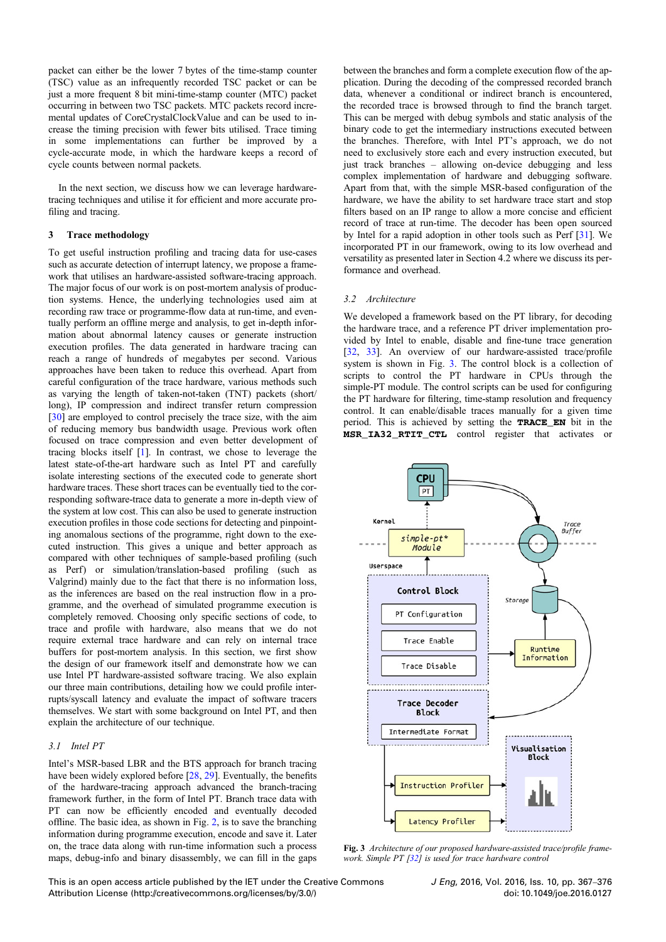<span id="page-4-0"></span>packet can either be the lower 7 bytes of the time-stamp counter (TSC) value as an infrequently recorded TSC packet or can be just a more frequent 8 bit mini-time-stamp counter (MTC) packet occurring in between two TSC packets. MTC packets record incremental updates of CoreCrystalClockValue and can be used to increase the timing precision with fewer bits utilised. Trace timing in some implementations can further be improved by a cycle-accurate mode, in which the hardware keeps a record of cycle counts between normal packets.

In the next section, we discuss how we can leverage hardwaretracing techniques and utilise it for efficient and more accurate profiling and tracing.

## 3 Trace methodology

To get useful instruction profiling and tracing data for use-cases such as accurate detection of interrupt latency, we propose a framework that utilises an hardware-assisted software-tracing approach. The major focus of our work is on post-mortem analysis of production systems. Hence, the underlying technologies used aim at recording raw trace or programme-flow data at run-time, and eventually perform an offline merge and analysis, to get in-depth information about abnormal latency causes or generate instruction execution profiles. The data generated in hardware tracing can reach a range of hundreds of megabytes per second. Various approaches have been taken to reduce this overhead. Apart from careful configuration of the trace hardware, various methods such as varying the length of taken-not-taken (TNT) packets (short/ long), IP compression and indirect transfer return compression [\[30](#page-10-0)] are employed to control precisely the trace size, with the aim of reducing memory bus bandwidth usage. Previous work often focused on trace compression and even better development of tracing blocks itself [\[1\]](#page-10-0). In contrast, we chose to leverage the latest state-of-the-art hardware such as Intel PT and carefully isolate interesting sections of the executed code to generate short hardware traces. These short traces can be eventually tied to the corresponding software-trace data to generate a more in-depth view of the system at low cost. This can also be used to generate instruction execution profiles in those code sections for detecting and pinpointing anomalous sections of the programme, right down to the executed instruction. This gives a unique and better approach as compared with other techniques of sample-based profiling (such as Perf) or simulation/translation-based profiling (such as Valgrind) mainly due to the fact that there is no information loss, as the inferences are based on the real instruction flow in a programme, and the overhead of simulated programme execution is completely removed. Choosing only specific sections of code, to trace and profile with hardware, also means that we do not require external trace hardware and can rely on internal trace buffers for post-mortem analysis. In this section, we first show the design of our framework itself and demonstrate how we can use Intel PT hardware-assisted software tracing. We also explain our three main contributions, detailing how we could profile interrupts/syscall latency and evaluate the impact of software tracers themselves. We start with some background on Intel PT, and then explain the architecture of our technique.

#### 3.1 Intel PT

Intel's MSR-based LBR and the BTS approach for branch tracing have been widely explored before [\[28](#page-10-0), [29\]](#page-10-0). Eventually, the benefits of the hardware-tracing approach advanced the branch-tracing framework further, in the form of Intel PT. Branch trace data with PT can now be efficiently encoded and eventually decoded offline. The basic idea, as shown in Fig. [2,](#page-3-0) is to save the branching information during programme execution, encode and save it. Later on, the trace data along with run-time information such a process maps, debug-info and binary disassembly, we can fill in the gaps

between the branches and form a complete execution flow of the application. During the decoding of the compressed recorded branch data, whenever a conditional or indirect branch is encountered, the recorded trace is browsed through to find the branch target. This can be merged with debug symbols and static analysis of the binary code to get the intermediary instructions executed between the branches. Therefore, with Intel PT's approach, we do not need to exclusively store each and every instruction executed, but just track branches – allowing on-device debugging and less complex implementation of hardware and debugging software. Apart from that, with the simple MSR-based configuration of the hardware, we have the ability to set hardware trace start and stop filters based on an IP range to allow a more concise and efficient record of trace at run-time. The decoder has been open sourced by Intel for a rapid adoption in other tools such as Perf [[31\]](#page-10-0). We incorporated PT in our framework, owing to its low overhead and versatility as presented later in Section 4.2 where we discuss its performance and overhead.

## 3.2 Architecture

We developed a framework based on the PT library, for decoding the hardware trace, and a reference PT driver implementation provided by Intel to enable, disable and fine-tune trace generation [\[32](#page-10-0), [33\]](#page-10-0). An overview of our hardware-assisted trace/profile system is shown in Fig. 3. The control block is a collection of scripts to control the PT hardware in CPUs through the simple-PT module. The control scripts can be used for configuring the PT hardware for filtering, time-stamp resolution and frequency control. It can enable/disable traces manually for a given time period. This is achieved by setting the TRACE\_EN bit in the MSR\_IA32\_RTIT\_CTL control register that activates or



Fig. 3 Architecture of our proposed hardware-assisted trace/profile frame-work. Simple PT [\[32](#page-10-0)] is used for trace hardware control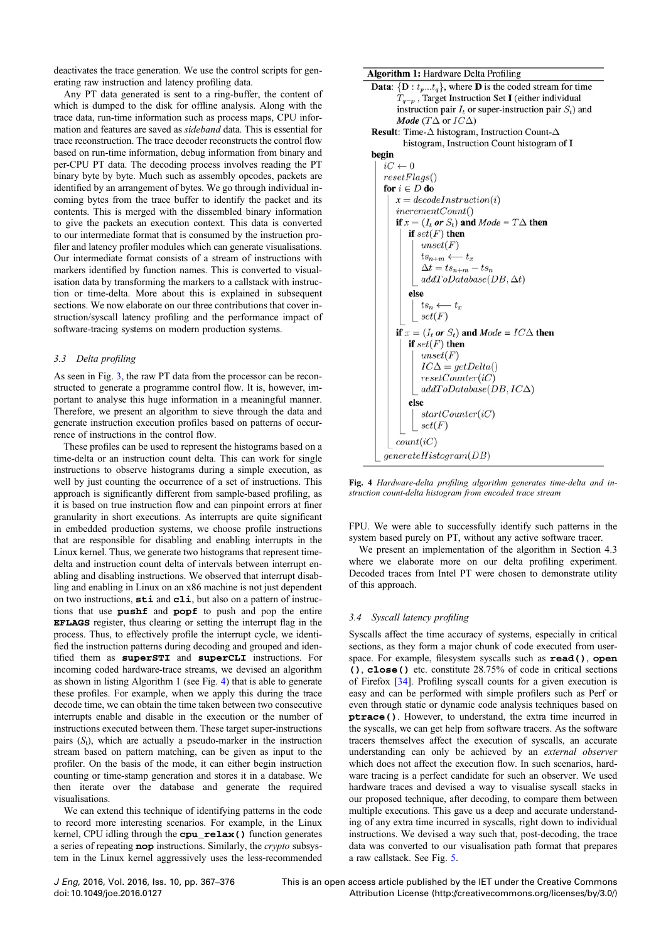<span id="page-5-0"></span>deactivates the trace generation. We use the control scripts for generating raw instruction and latency profiling data.

Any PT data generated is sent to a ring-buffer, the content of which is dumped to the disk for offline analysis. Along with the trace data, run-time information such as process maps, CPU information and features are saved as sideband data. This is essential for trace reconstruction. The trace decoder reconstructs the control flow based on run-time information, debug information from binary and per-CPU PT data. The decoding process involves reading the PT binary byte by byte. Much such as assembly opcodes, packets are identified by an arrangement of bytes. We go through individual incoming bytes from the trace buffer to identify the packet and its contents. This is merged with the dissembled binary information to give the packets an execution context. This data is converted to our intermediate format that is consumed by the instruction profiler and latency profiler modules which can generate visualisations. Our intermediate format consists of a stream of instructions with markers identified by function names. This is converted to visualisation data by transforming the markers to a callstack with instruction or time-delta. More about this is explained in subsequent sections. We now elaborate on our three contributions that cover instruction/syscall latency profiling and the performance impact of software-tracing systems on modern production systems.

## 3.3 Delta profiling

As seen in Fig. [3,](#page-4-0) the raw PT data from the processor can be reconstructed to generate a programme control flow. It is, however, important to analyse this huge information in a meaningful manner. Therefore, we present an algorithm to sieve through the data and generate instruction execution profiles based on patterns of occurrence of instructions in the control flow.

These profiles can be used to represent the histograms based on a time-delta or an instruction count delta. This can work for single instructions to observe histograms during a simple execution, as well by just counting the occurrence of a set of instructions. This approach is significantly different from sample-based profiling, as it is based on true instruction flow and can pinpoint errors at finer granularity in short executions. As interrupts are quite significant in embedded production systems, we choose profile instructions that are responsible for disabling and enabling interrupts in the Linux kernel. Thus, we generate two histograms that represent timedelta and instruction count delta of intervals between interrupt enabling and disabling instructions. We observed that interrupt disabling and enabling in Linux on an x86 machine is not just dependent on two instructions, sti and cli, but also on a pattern of instructions that use **pushf** and **popf** to push and pop the entire EFLAGS register, thus clearing or setting the interrupt flag in the process. Thus, to effectively profile the interrupt cycle, we identified the instruction patterns during decoding and grouped and identified them as superSTI and superCLI instructions. For incoming coded hardware-trace streams, we devised an algorithm as shown in listing Algorithm 1 (see Fig. 4) that is able to generate these profiles. For example, when we apply this during the trace decode time, we can obtain the time taken between two consecutive interrupts enable and disable in the execution or the number of instructions executed between them. These target super-instructions pairs  $(S_t)$ , which are actually a pseudo-marker in the instruction stream based on pattern matching, can be given as input to the profiler. On the basis of the mode, it can either begin instruction counting or time-stamp generation and stores it in a database. We then iterate over the database and generate the required visualisations.

We can extend this technique of identifying patterns in the code to record more interesting scenarios. For example, in the Linux kernel, CPU idling through the cpu\_relax() function generates a series of repeating nop instructions. Similarly, the crypto subsystem in the Linux kernel aggressively uses the less-recommended **Algorithm 1: Hardware Delta Profiling** 



Fig. 4 Hardware-delta profiling algorithm generates time-delta and instruction count-delta histogram from encoded trace stream

FPU. We were able to successfully identify such patterns in the system based purely on PT, without any active software tracer.

We present an implementation of the algorithm in Section 4.3 where we elaborate more on our delta profiling experiment. Decoded traces from Intel PT were chosen to demonstrate utility of this approach.

## 3.4 Syscall latency profiling

Syscalls affect the time accuracy of systems, especially in critical sections, as they form a major chunk of code executed from userspace. For example, filesystem syscalls such as  $\text{read}()$ , open (), close() etc. constitute 28.75% of code in critical sections of Firefox [[34\]](#page-10-0). Profiling syscall counts for a given execution is easy and can be performed with simple profilers such as Perf or even through static or dynamic code analysis techniques based on ptrace(). However, to understand, the extra time incurred in the syscalls, we can get help from software tracers. As the software tracers themselves affect the execution of syscalls, an accurate understanding can only be achieved by an external observer which does not affect the execution flow. In such scenarios, hardware tracing is a perfect candidate for such an observer. We used hardware traces and devised a way to visualise syscall stacks in our proposed technique, after decoding, to compare them between multiple executions. This gave us a deep and accurate understanding of any extra time incurred in syscalls, right down to individual instructions. We devised a way such that, post-decoding, the trace data was converted to our visualisation path format that prepares a raw callstack. See Fig. [5.](#page-6-0)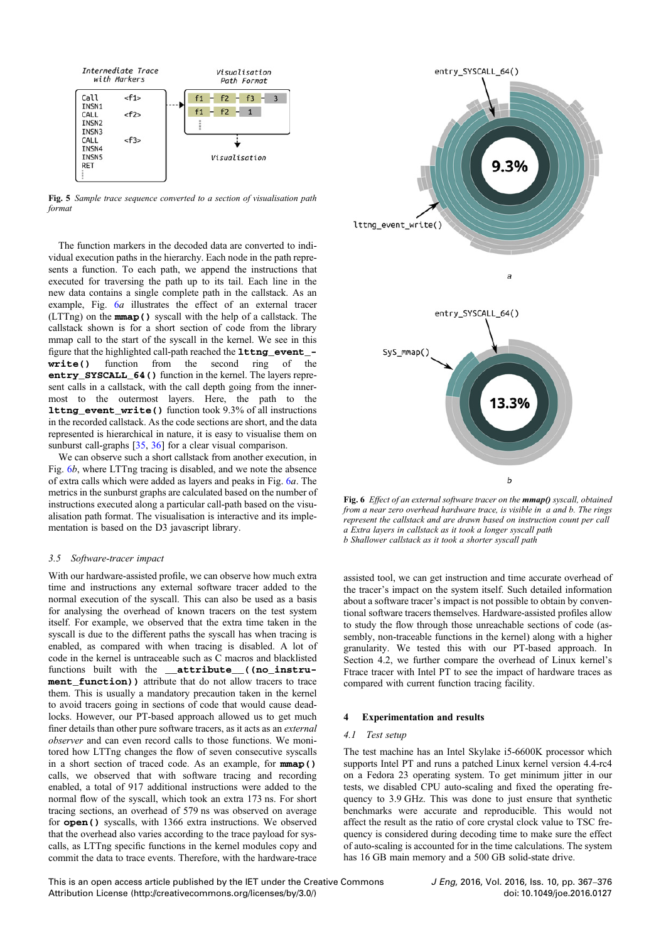<span id="page-6-0"></span>

Fig. 5 Sample trace sequence converted to a section of visualisation path format

The function markers in the decoded data are converted to individual execution paths in the hierarchy. Each node in the path represents a function. To each path, we append the instructions that executed for traversing the path up to its tail. Each line in the new data contains a single complete path in the callstack. As an example, Fig. 6*a* illustrates the effect of an external tracer (LTTng) on the mmap() syscall with the help of a callstack. The callstack shown is for a short section of code from the library mmap call to the start of the syscall in the kernel. We see in this figure that the highlighted call-path reached the **lttng** event write() function from the second ring of the entry\_SYSCALL\_64() function in the kernel. The layers represent calls in a callstack, with the call depth going from the innermost to the outermost layers. Here, the path to the lttng\_event\_write() function took 9.3% of all instructions in the recorded callstack. As the code sections are short, and the data represented is hierarchical in nature, it is easy to visualise them on sunburst call-graphs [\[35](#page-10-0), [36](#page-10-0)] for a clear visual comparison.

We can observe such a short callstack from another execution, in Fig. 6b, where LTTng tracing is disabled, and we note the absence of extra calls which were added as layers and peaks in Fig. 6a. The metrics in the sunburst graphs are calculated based on the number of instructions executed along a particular call-path based on the visualisation path format. The visualisation is interactive and its implementation is based on the D3 javascript library.

#### 3.5 Software-tracer impact

With our hardware-assisted profile, we can observe how much extra time and instructions any external software tracer added to the normal execution of the syscall. This can also be used as a basis for analysing the overhead of known tracers on the test system itself. For example, we observed that the extra time taken in the syscall is due to the different paths the syscall has when tracing is enabled, as compared with when tracing is disabled. A lot of code in the kernel is untraceable such as C macros and blacklisted functions built with the \_\_attribute\_((no\_instrument function)) attribute that do not allow tracers to trace them. This is usually a mandatory precaution taken in the kernel to avoid tracers going in sections of code that would cause deadlocks. However, our PT-based approach allowed us to get much finer details than other pure software tracers, as it acts as an external observer and can even record calls to those functions. We monitored how LTTng changes the flow of seven consecutive syscalls in a short section of traced code. As an example, for mmap() calls, we observed that with software tracing and recording enabled, a total of 917 additional instructions were added to the normal flow of the syscall, which took an extra 173 ns. For short tracing sections, an overhead of 579 ns was observed on average for open() syscalls, with 1366 extra instructions. We observed that the overhead also varies according to the trace payload for syscalls, as LTTng specific functions in the kernel modules copy and commit the data to trace events. Therefore, with the hardware-trace



Fig. 6 Effect of an external software tracer on the mmap() syscall, obtained from a near zero overhead hardware trace, is visible in a and b. The rings represent the callstack and are drawn based on instruction count per call a Extra layers in callstack as it took a longer syscall path b Shallower callstack as it took a shorter syscall path

assisted tool, we can get instruction and time accurate overhead of the tracer's impact on the system itself. Such detailed information about a software tracer's impact is not possible to obtain by conventional software tracers themselves. Hardware-assisted profiles allow to study the flow through those unreachable sections of code (assembly, non-traceable functions in the kernel) along with a higher granularity. We tested this with our PT-based approach. In Section 4.2, we further compare the overhead of Linux kernel's Ftrace tracer with Intel PT to see the impact of hardware traces as compared with current function tracing facility.

#### 4 Experimentation and results

#### 4.1 Test setup

The test machine has an Intel Skylake i5-6600K processor which supports Intel PT and runs a patched Linux kernel version 4.4-rc4 on a Fedora 23 operating system. To get minimum jitter in our tests, we disabled CPU auto-scaling and fixed the operating frequency to 3.9 GHz. This was done to just ensure that synthetic benchmarks were accurate and reproducible. This would not affect the result as the ratio of core crystal clock value to TSC frequency is considered during decoding time to make sure the effect of auto-scaling is accounted for in the time calculations. The system has 16 GB main memory and a 500 GB solid-state drive.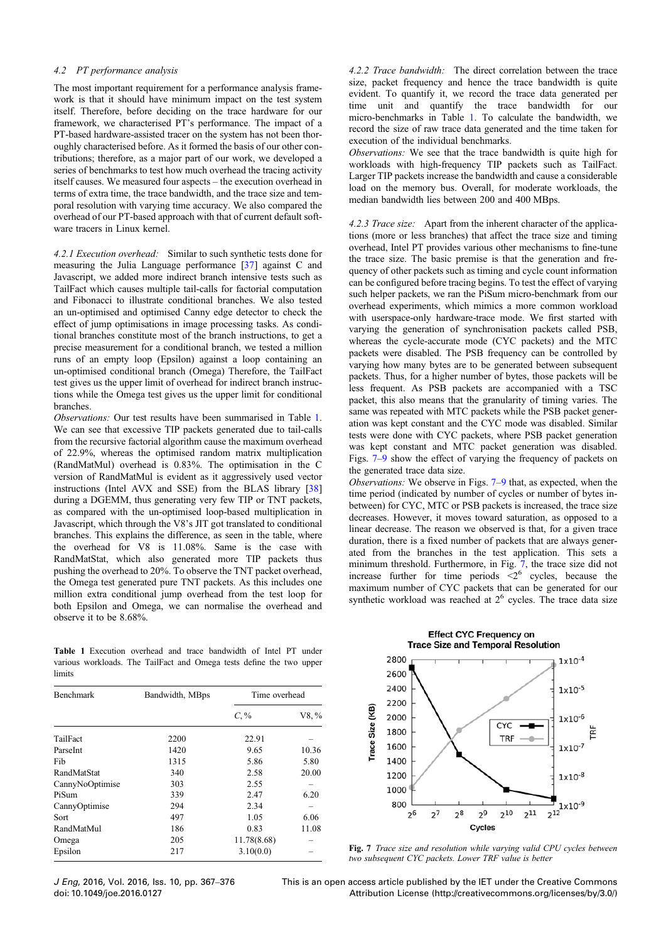#### <span id="page-7-0"></span>4.2 PT performance analysis

The most important requirement for a performance analysis framework is that it should have minimum impact on the test system itself. Therefore, before deciding on the trace hardware for our framework, we characterised PT's performance. The impact of a PT-based hardware-assisted tracer on the system has not been thoroughly characterised before. As it formed the basis of our other contributions; therefore, as a major part of our work, we developed a series of benchmarks to test how much overhead the tracing activity itself causes. We measured four aspects – the execution overhead in terms of extra time, the trace bandwidth, and the trace size and temporal resolution with varying time accuracy. We also compared the overhead of our PT-based approach with that of current default software tracers in Linux kernel.

4.2.1 Execution overhead: Similar to such synthetic tests done for measuring the Julia Language performance [\[37](#page-10-0)] against C and Javascript, we added more indirect branch intensive tests such as TailFact which causes multiple tail-calls for factorial computation and Fibonacci to illustrate conditional branches. We also tested an un-optimised and optimised Canny edge detector to check the effect of jump optimisations in image processing tasks. As conditional branches constitute most of the branch instructions, to get a precise measurement for a conditional branch, we tested a million runs of an empty loop (Epsilon) against a loop containing an un-optimised conditional branch (Omega) Therefore, the TailFact test gives us the upper limit of overhead for indirect branch instructions while the Omega test gives us the upper limit for conditional branches.

Observations: Our test results have been summarised in Table 1. We can see that excessive TIP packets generated due to tail-calls from the recursive factorial algorithm cause the maximum overhead of 22.9%, whereas the optimised random matrix multiplication (RandMatMul) overhead is 0.83%. The optimisation in the C version of RandMatMul is evident as it aggressively used vector instructions (Intel AVX and SSE) from the BLAS library [\[38](#page-10-0)] during a DGEMM, thus generating very few TIP or TNT packets, as compared with the un-optimised loop-based multiplication in Javascript, which through the V8's JIT got translated to conditional branches. This explains the difference, as seen in the table, where the overhead for V8 is 11.08%. Same is the case with RandMatStat, which also generated more TIP packets thus pushing the overhead to 20%. To observe the TNT packet overhead, the Omega test generated pure TNT packets. As this includes one million extra conditional jump overhead from the test loop for both Epsilon and Omega, we can normalise the overhead and observe it to be 8.68%.

Table 1 Execution overhead and trace bandwidth of Intel PT under various workloads. The TailFact and Omega tests define the two upper limits

| <b>Benchmark</b>   | Bandwidth, MBps | Time overhead |          |
|--------------------|-----------------|---------------|----------|
|                    |                 | $C, \%$       | $V8. \%$ |
| TailFact           | 2200            | 22.91         |          |
| Parselnt           | 1420            | 9.65          | 10.36    |
| Fib                | 1315            | 5.86          | 5.80     |
| <b>RandMatStat</b> | 340             | 2.58          | 20.00    |
| CannyNoOptimise    | 303             | 2.55          |          |
| PiSum              | 339             | 2.47          | 6.20     |
| CannyOptimise      | 294             | 2.34          |          |
| Sort               | 497             | 1.05          | 6.06     |
| RandMatMul         | 186             | 0.83          | 11.08    |
| Omega              | 205             | 11.78(8.68)   |          |
| Epsilon            | 217             | 3.10(0.0)     |          |

4.2.2 Trace bandwidth: The direct correlation between the trace size, packet frequency and hence the trace bandwidth is quite evident. To quantify it, we record the trace data generated per time unit and quantify the trace bandwidth for our micro-benchmarks in Table 1. To calculate the bandwidth, we record the size of raw trace data generated and the time taken for execution of the individual benchmarks.

Observations: We see that the trace bandwidth is quite high for workloads with high-frequency TIP packets such as TailFact. Larger TIP packets increase the bandwidth and cause a considerable load on the memory bus. Overall, for moderate workloads, the median bandwidth lies between 200 and 400 MBps.

4.2.3 Trace size: Apart from the inherent character of the applications (more or less branches) that affect the trace size and timing overhead, Intel PT provides various other mechanisms to fine-tune the trace size. The basic premise is that the generation and frequency of other packets such as timing and cycle count information can be configured before tracing begins. To test the effect of varying such helper packets, we ran the PiSum micro-benchmark from our overhead experiments, which mimics a more common workload with userspace-only hardware-trace mode. We first started with varying the generation of synchronisation packets called PSB, whereas the cycle-accurate mode (CYC packets) and the MTC packets were disabled. The PSB frequency can be controlled by varying how many bytes are to be generated between subsequent packets. Thus, for a higher number of bytes, those packets will be less frequent. As PSB packets are accompanied with a TSC packet, this also means that the granularity of timing varies. The same was repeated with MTC packets while the PSB packet generation was kept constant and the CYC mode was disabled. Similar tests were done with CYC packets, where PSB packet generation was kept constant and MTC packet generation was disabled. Figs. 7–[9](#page-8-0) show the effect of varying the frequency of packets on the generated trace data size.

Observations: We observe in Figs. 7–[9](#page-8-0) that, as expected, when the time period (indicated by number of cycles or number of bytes inbetween) for CYC, MTC or PSB packets is increased, the trace size decreases. However, it moves toward saturation, as opposed to a linear decrease. The reason we observed is that, for a given trace duration, there is a fixed number of packets that are always generated from the branches in the test application. This sets a minimum threshold. Furthermore, in Fig. 7, the trace size did not increase further for time periods  $\leq 2^6$  cycles, because the maximum number of CYC packets that can be generated for our synthetic workload was reached at  $2<sup>6</sup>$  cycles. The trace data size



Fig. 7 Trace size and resolution while varying valid CPU cycles between two subsequent CYC packets. Lower TRF value is better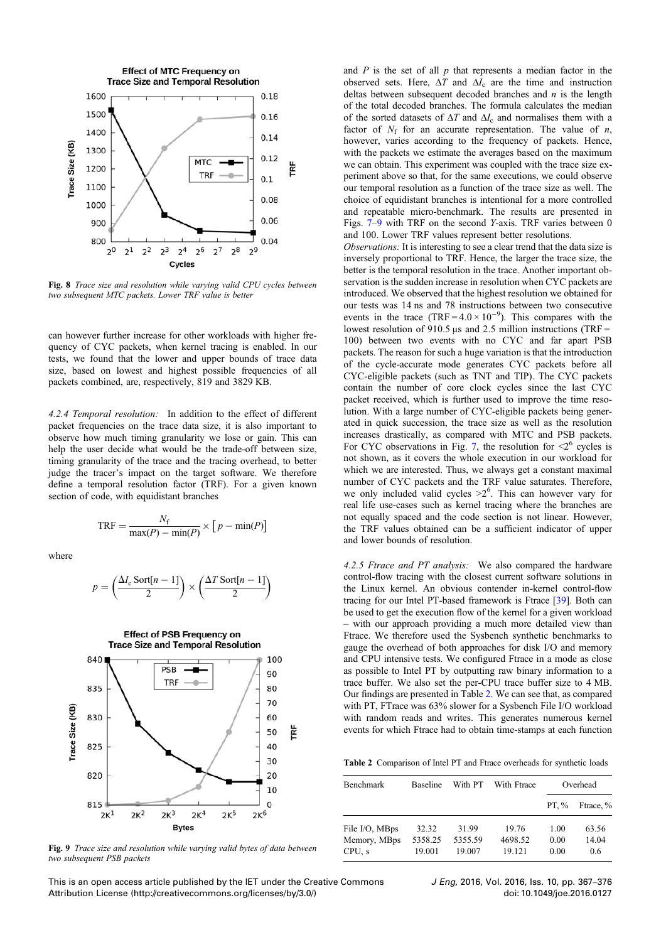<span id="page-8-0"></span>

Fig. 8 Trace size and resolution while varying valid CPU cycles between two subsequent MTC packets. Lower TRF value is better

can however further increase for other workloads with higher frequency of CYC packets, when kernel tracing is enabled. In our tests, we found that the lower and upper bounds of trace data size, based on lowest and highest possible frequencies of all packets combined, are, respectively, 819 and 3829 KB.

4.2.4 Temporal resolution: In addition to the effect of different packet frequencies on the trace data size, it is also important to observe how much timing granularity we lose or gain. This can help the user decide what would be the trade-off between size, timing granularity of the trace and the tracing overhead, to better judge the tracer's impact on the target software. We therefore define a temporal resolution factor (TRF). For a given known section of code, with equidistant branches

$$
TRF = \frac{N_f}{\max(P) - \min(P)} \times \left[ p - \min(P) \right]
$$

where

$$
p = \left(\frac{\Delta I_c \text{ Sort}[n-1]}{2}\right) \times \left(\frac{\Delta T \text{ Sort}[n-1]}{2}\right)
$$



Fig. 9 Trace size and resolution while varying valid bytes of data between two subsequent PSB packets

and  $P$  is the set of all  $p$  that represents a median factor in the observed sets. Here,  $\Delta T$  and  $\Delta I_c$  are the time and instruction deltas between subsequent decoded branches and  $n$  is the length of the total decoded branches. The formula calculates the median of the sorted datasets of  $\Delta T$  and  $\Delta I_c$  and normalises them with a factor of  $N_f$  for an accurate representation. The value of n, however, varies according to the frequency of packets. Hence, with the packets we estimate the averages based on the maximum we can obtain. This experiment was coupled with the trace size experiment above so that, for the same executions, we could observe our temporal resolution as a function of the trace size as well. The choice of equidistant branches is intentional for a more controlled and repeatable micro-benchmark. The results are presented in Figs. [7](#page-7-0)–9 with TRF on the second Y-axis. TRF varies between 0 and 100. Lower TRF values represent better resolutions.

Observations: It is interesting to see a clear trend that the data size is inversely proportional to TRF. Hence, the larger the trace size, the better is the temporal resolution in the trace. Another important observation is the sudden increase in resolution when CYC packets are introduced. We observed that the highest resolution we obtained for our tests was 14 ns and 78 instructions between two consecutive events in the trace  $(TRF = 4.0 \times 10^{-9})$ . This compares with the lowest resolution of 910.5 μs and 2.5 million instructions (TRF = 100) between two events with no CYC and far apart PSB packets. The reason for such a huge variation is that the introduction of the cycle-accurate mode generates CYC packets before all CYC-eligible packets (such as TNT and TIP). The CYC packets contain the number of core clock cycles since the last CYC packet received, which is further used to improve the time resolution. With a large number of CYC-eligible packets being generated in quick succession, the trace size as well as the resolution increases drastically, as compared with MTC and PSB packets. For CYC observations in Fig. [7](#page-7-0), the resolution for  $\leq 2^6$  cycles is not shown, as it covers the whole execution in our workload for which we are interested. Thus, we always get a constant maximal number of CYC packets and the TRF value saturates. Therefore, we only included valid cycles  $>2^6$ . This can however vary for real life use-cases such as kernel tracing where the branches are not equally spaced and the code section is not linear. However, the TRF values obtained can be a sufficient indicator of upper and lower bounds of resolution.

4.2.5 Ftrace and PT analysis: We also compared the hardware control-flow tracing with the closest current software solutions in the Linux kernel. An obvious contender in-kernel control-flow tracing for our Intel PT-based framework is Ftrace [\[39](#page-10-0)]. Both can be used to get the execution flow of the kernel for a given workload – with our approach providing a much more detailed view than Ftrace. We therefore used the Sysbench synthetic benchmarks to gauge the overhead of both approaches for disk I/O and memory and CPU intensive tests. We configured Ftrace in a mode as close as possible to Intel PT by outputting raw binary information to a trace buffer. We also set the per-CPU trace buffer size to 4 MB. Our findings are presented in Table 2. We can see that, as compared with PT, FTrace was 63% slower for a Sysbench File I/O workload with random reads and writes. This generates numerous kernel events for which Ftrace had to obtain time-stamps at each function

Table 2 Comparison of Intel PT and Ftrace overheads for synthetic loads

| <b>Benchmark</b> | <b>Baseline</b> | With PT | With Ftrace | Overhead |           |
|------------------|-----------------|---------|-------------|----------|-----------|
|                  |                 |         |             | PT. $%$  | Ftrace, % |
| File I/O, MBps   | 32.32           | 31.99   | 19.76       | 1.00     | 63.56     |
| Memory, MBps     | 5358.25         | 5355.59 | 4698.52     | 0.00     | 14.04     |
| CPU, s           | 19.001          | 19.007  | 19.121      | 0.00     | 0.6       |

This is an open access article published by the IET under the Creative Commons Attribution License (http://creativecommons.org/licenses/by/3.0/)

J Eng, 2016, Vol. 2016, Iss. 10, pp. 367–<sup>376</sup> doi: 10.1049/joe.2016.0127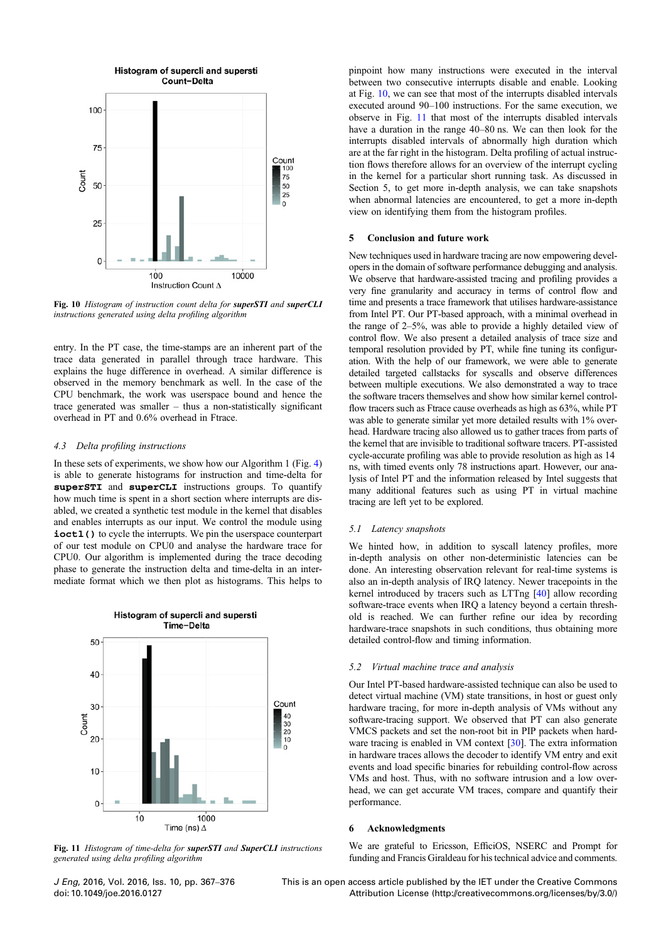

Fig. 10 Histogram of instruction count delta for superSTI and superCLI instructions generated using delta profiling algorithm

entry. In the PT case, the time-stamps are an inherent part of the trace data generated in parallel through trace hardware. This explains the huge difference in overhead. A similar difference is observed in the memory benchmark as well. In the case of the CPU benchmark, the work was userspace bound and hence the trace generated was smaller – thus a non-statistically significant overhead in PT and 0.6% overhead in Ftrace.

## 4.3 Delta profiling instructions

In these sets of experiments, we show how our Algorithm 1 (Fig. [4](#page-5-0)) is able to generate histograms for instruction and time-delta for superSTI and superCLI instructions groups. To quantify how much time is spent in a short section where interrupts are disabled, we created a synthetic test module in the kernel that disables and enables interrupts as our input. We control the module using ioctl() to cycle the interrupts. We pin the userspace counterpart of our test module on CPU0 and analyse the hardware trace for CPU0. Our algorithm is implemented during the trace decoding phase to generate the instruction delta and time-delta in an intermediate format which we then plot as histograms. This helps to



Fig. 11 Histogram of time-delta for superSTI and SuperCLI instructions generated using delta profiling algorithm

pinpoint how many instructions were executed in the interval between two consecutive interrupts disable and enable. Looking at Fig. 10, we can see that most of the interrupts disabled intervals executed around 90–100 instructions. For the same execution, we observe in Fig. 11 that most of the interrupts disabled intervals have a duration in the range 40–80 ns. We can then look for the interrupts disabled intervals of abnormally high duration which are at the far right in the histogram. Delta profiling of actual instruction flows therefore allows for an overview of the interrupt cycling in the kernel for a particular short running task. As discussed in Section 5, to get more in-depth analysis, we can take snapshots when abnormal latencies are encountered, to get a more in-depth view on identifying them from the histogram profiles.

## 5 Conclusion and future work

New techniques used in hardware tracing are now empowering developers in the domain of software performance debugging and analysis. We observe that hardware-assisted tracing and profiling provides a very fine granularity and accuracy in terms of control flow and time and presents a trace framework that utilises hardware-assistance from Intel PT. Our PT-based approach, with a minimal overhead in the range of 2–5%, was able to provide a highly detailed view of control flow. We also present a detailed analysis of trace size and temporal resolution provided by PT, while fine tuning its configuration. With the help of our framework, we were able to generate detailed targeted callstacks for syscalls and observe differences between multiple executions. We also demonstrated a way to trace the software tracers themselves and show how similar kernel controlflow tracers such as Ftrace cause overheads as high as 63%, while PT was able to generate similar yet more detailed results with 1% overhead. Hardware tracing also allowed us to gather traces from parts of the kernel that are invisible to traditional software tracers. PT-assisted cycle-accurate profiling was able to provide resolution as high as 14 ns, with timed events only 78 instructions apart. However, our analysis of Intel PT and the information released by Intel suggests that many additional features such as using PT in virtual machine tracing are left yet to be explored.

#### 5.1 Latency snapshots

We hinted how, in addition to syscall latency profiles, more in-depth analysis on other non-deterministic latencies can be done. An interesting observation relevant for real-time systems is also an in-depth analysis of IRQ latency. Newer tracepoints in the kernel introduced by tracers such as LTTng [[40\]](#page-10-0) allow recording software-trace events when IRQ a latency beyond a certain threshold is reached. We can further refine our idea by recording hardware-trace snapshots in such conditions, thus obtaining more detailed control-flow and timing information.

#### 5.2 Virtual machine trace and analysis

Our Intel PT-based hardware-assisted technique can also be used to detect virtual machine (VM) state transitions, in host or guest only hardware tracing, for more in-depth analysis of VMs without any software-tracing support. We observed that PT can also generate VMCS packets and set the non-root bit in PIP packets when hardware tracing is enabled in VM context [[30\]](#page-10-0). The extra information in hardware traces allows the decoder to identify VM entry and exit events and load specific binaries for rebuilding control-flow across VMs and host. Thus, with no software intrusion and a low overhead, we can get accurate VM traces, compare and quantify their performance.

## 6 Acknowledgments

We are grateful to Ericsson, EfficiOS, NSERC and Prompt for funding and Francis Giraldeau for his technical advice and comments.

J Eng, 2016, Vol. 2016, Iss. 10, pp. 367–<sup>376</sup> doi: 10.1049/joe.2016.0127